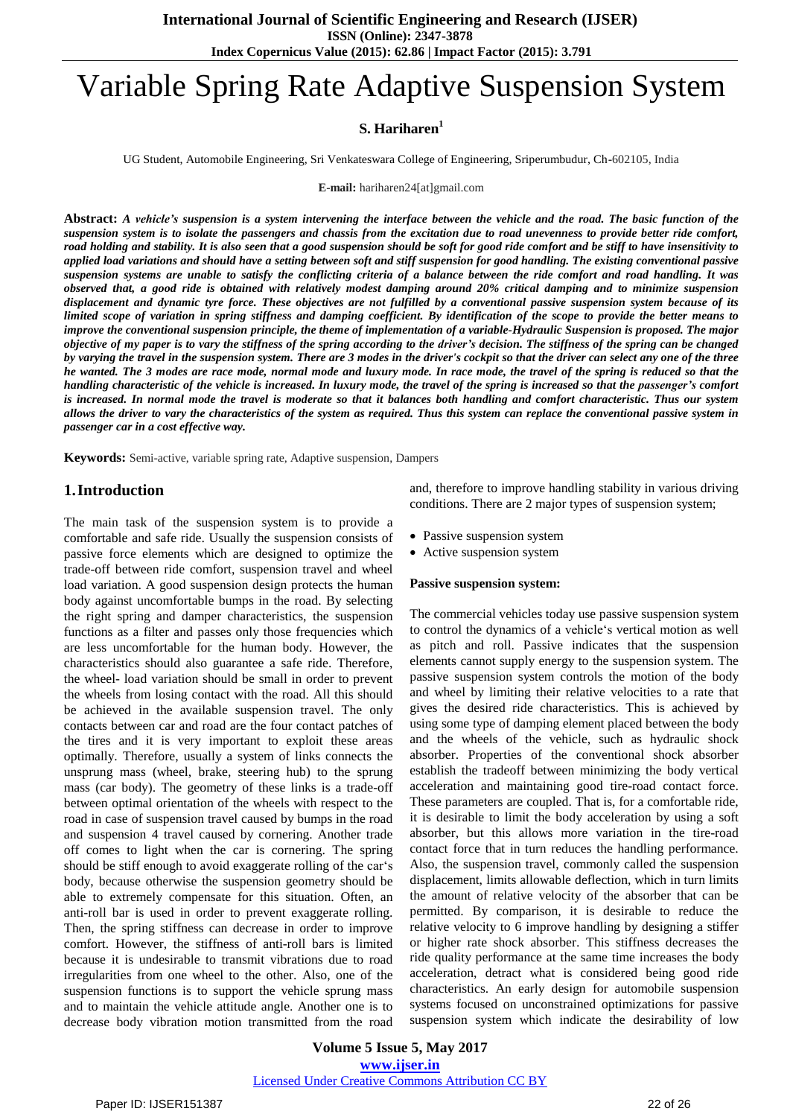# Variable Spring Rate Adaptive Suspension System

# **S. Hariharen<sup>1</sup>**

UG Student, Automobile Engineering, Sri Venkateswara College of Engineering, Sriperumbudur, Ch-602105, India

**E-mail:** hariharen24[at]gmail.com

Abstract: A vehicle's suspension is a system intervening the interface between the vehicle and the road. The basic function of the suspension system is to isolate the passengers and chassis from the excitation due to road unevenness to provide better ride comfort, road holding and stability. It is also seen that a good suspension should be soft for good ride comfort and be stiff to have insensitivity to applied load variations and should have a setting between soft and stiff suspension for good handling. The existing conventional passive suspension systems are unable to satisfy the conflicting criteria of a balance between the ride comfort and road handling. It was observed that, a good ride is obtained with relatively modest damping around 20% critical damping and to minimize suspension displacement and dynamic tyre force. These objectives are not fulfilled by a conventional passive suspension system because of its limited scope of variation in spring stiffness and damping coefficient. By identification of the scope to provide the better means to improve the conventional suspension principle, the theme of implementation of a variable-Hydraulic Suspension is proposed. The major objective of my paper is to vary the stiffness of the spring according to the driver's decision. The stiffness of the spring can be changed by varying the travel in the suspension system. There are 3 modes in the driver's cockpit so that the driver can select any one of the three he wanted. The 3 modes are race mode, normal mode and luxury mode. In race mode, the travel of the spring is reduced so that the handling characteristic of the vehicle is increased. In luxury mode, the travel of the spring is increased so that the passenger's comfort is increased. In normal mode the travel is moderate so that it balances both handling and comfort characteristic. Thus our system allows the driver to vary the characteristics of the system as required. Thus this system can replace the conventional passive system in *passenger car in a cost effective way.*

**Keywords:** Semi-active, variable spring rate, Adaptive suspension, Dampers

# **1.Introduction**

The main task of the suspension system is to provide a comfortable and safe ride. Usually the suspension consists of passive force elements which are designed to optimize the trade-off between ride comfort, suspension travel and wheel load variation. A good suspension design protects the human body against uncomfortable bumps in the road. By selecting the right spring and damper characteristics, the suspension functions as a filter and passes only those frequencies which are less uncomfortable for the human body. However, the characteristics should also guarantee a safe ride. Therefore, the wheel- load variation should be small in order to prevent the wheels from losing contact with the road. All this should be achieved in the available suspension travel. The only contacts between car and road are the four contact patches of the tires and it is very important to exploit these areas optimally. Therefore, usually a system of links connects the unsprung mass (wheel, brake, steering hub) to the sprung mass (car body). The geometry of these links is a trade-off between optimal orientation of the wheels with respect to the road in case of suspension travel caused by bumps in the road and suspension 4 travel caused by cornering. Another trade off comes to light when the car is cornering. The spring should be stiff enough to avoid exaggerate rolling of the car's body, because otherwise the suspension geometry should be able to extremely compensate for this situation. Often, an anti-roll bar is used in order to prevent exaggerate rolling. Then, the spring stiffness can decrease in order to improve comfort. However, the stiffness of anti-roll bars is limited because it is undesirable to transmit vibrations due to road irregularities from one wheel to the other. Also, one of the suspension functions is to support the vehicle sprung mass and to maintain the vehicle attitude angle. Another one is to decrease body vibration motion transmitted from the road

and, therefore to improve handling stability in various driving conditions. There are 2 major types of suspension system;

- Passive suspension system
- Active suspension system

#### **Passive suspension system:**

The commercial vehicles today use passive suspension system to control the dynamics of a vehicle"s vertical motion as well as pitch and roll. Passive indicates that the suspension elements cannot supply energy to the suspension system. The passive suspension system controls the motion of the body and wheel by limiting their relative velocities to a rate that gives the desired ride characteristics. This is achieved by using some type of damping element placed between the body and the wheels of the vehicle, such as hydraulic shock absorber. Properties of the conventional shock absorber establish the tradeoff between minimizing the body vertical acceleration and maintaining good tire-road contact force. These parameters are coupled. That is, for a comfortable ride, it is desirable to limit the body acceleration by using a soft absorber, but this allows more variation in the tire-road contact force that in turn reduces the handling performance. Also, the suspension travel, commonly called the suspension displacement, limits allowable deflection, which in turn limits the amount of relative velocity of the absorber that can be permitted. By comparison, it is desirable to reduce the relative velocity to 6 improve handling by designing a stiffer or higher rate shock absorber. This stiffness decreases the ride quality performance at the same time increases the body acceleration, detract what is considered being good ride characteristics. An early design for automobile suspension systems focused on unconstrained optimizations for passive suspension system which indicate the desirability of low

**Volume 5 Issue 5, May 2017 www.ijser.in** Licensed Under Creative Commons Attribution CC BY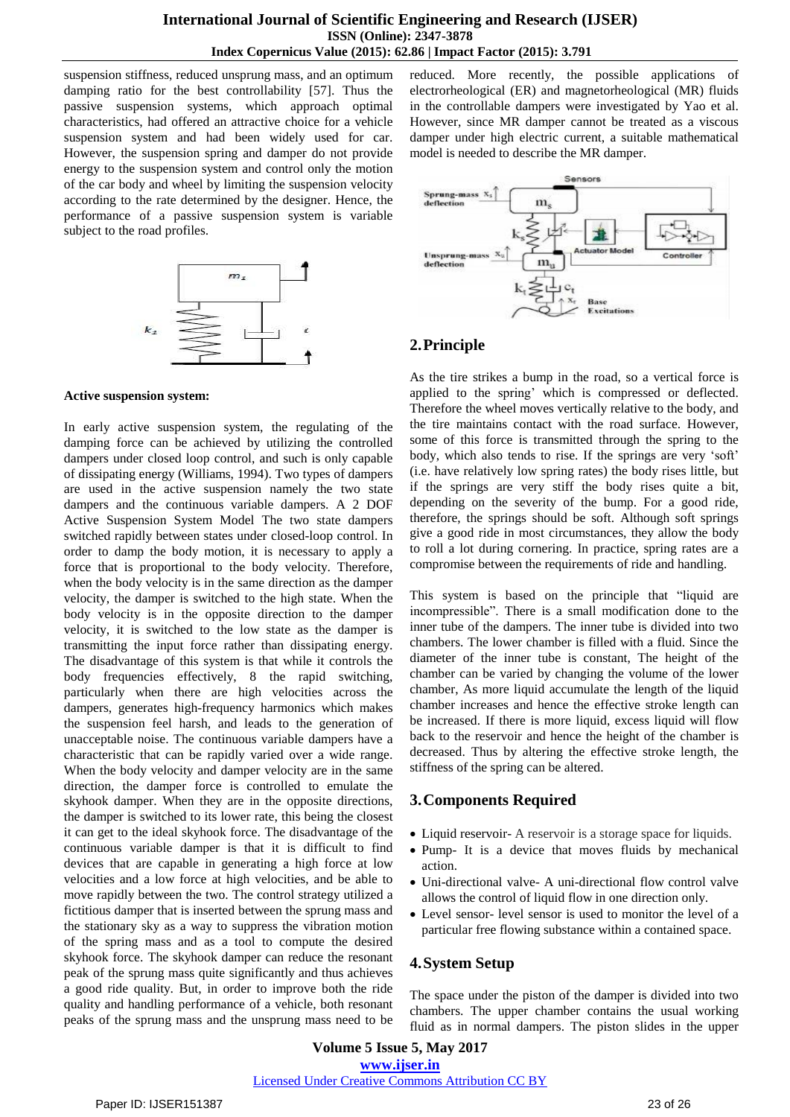suspension stiffness, reduced unsprung mass, and an optimum damping ratio for the best controllability [57]. Thus the passive suspension systems, which approach optimal characteristics, had offered an attractive choice for a vehicle suspension system and had been widely used for car. However, the suspension spring and damper do not provide energy to the suspension system and control only the motion of the car body and wheel by limiting the suspension velocity according to the rate determined by the designer. Hence, the performance of a passive suspension system is variable subject to the road profiles.



### **Active suspension system:**

In early active suspension system, the regulating of the damping force can be achieved by utilizing the controlled dampers under closed loop control, and such is only capable of dissipating energy (Williams, 1994). Two types of dampers are used in the active suspension namely the two state dampers and the continuous variable dampers. A 2 DOF Active Suspension System Model The two state dampers switched rapidly between states under closed-loop control. In order to damp the body motion, it is necessary to apply a force that is proportional to the body velocity. Therefore, when the body velocity is in the same direction as the damper velocity, the damper is switched to the high state. When the body velocity is in the opposite direction to the damper velocity, it is switched to the low state as the damper is transmitting the input force rather than dissipating energy. The disadvantage of this system is that while it controls the body frequencies effectively, 8 the rapid switching, particularly when there are high velocities across the dampers, generates high-frequency harmonics which makes the suspension feel harsh, and leads to the generation of unacceptable noise. The continuous variable dampers have a characteristic that can be rapidly varied over a wide range. When the body velocity and damper velocity are in the same direction, the damper force is controlled to emulate the skyhook damper. When they are in the opposite directions, the damper is switched to its lower rate, this being the closest it can get to the ideal skyhook force. The disadvantage of the continuous variable damper is that it is difficult to find devices that are capable in generating a high force at low velocities and a low force at high velocities, and be able to move rapidly between the two. The control strategy utilized a fictitious damper that is inserted between the sprung mass and the stationary sky as a way to suppress the vibration motion of the spring mass and as a tool to compute the desired skyhook force. The skyhook damper can reduce the resonant peak of the sprung mass quite significantly and thus achieves a good ride quality. But, in order to improve both the ride quality and handling performance of a vehicle, both resonant peaks of the sprung mass and the unsprung mass need to be reduced. More recently, the possible applications of electrorheological (ER) and magnetorheological (MR) fluids in the controllable dampers were investigated by Yao et al. However, since MR damper cannot be treated as a viscous damper under high electric current, a suitable mathematical model is needed to describe the MR damper.



# **2.Principle**

As the tire strikes a bump in the road, so a vertical force is applied to the spring" which is compressed or deflected. Therefore the wheel moves vertically relative to the body, and the tire maintains contact with the road surface. However, some of this force is transmitted through the spring to the body, which also tends to rise. If the springs are very "soft" (i.e. have relatively low spring rates) the body rises little, but if the springs are very stiff the body rises quite a bit, depending on the severity of the bump. For a good ride, therefore, the springs should be soft. Although soft springs give a good ride in most circumstances, they allow the body to roll a lot during cornering. In practice, spring rates are a compromise between the requirements of ride and handling.

This system is based on the principle that "liquid are incompressible". There is a small modification done to the inner tube of the dampers. The inner tube is divided into two chambers. The lower chamber is filled with a fluid. Since the diameter of the inner tube is constant, The height of the chamber can be varied by changing the volume of the lower chamber, As more liquid accumulate the length of the liquid chamber increases and hence the effective stroke length can be increased. If there is more liquid, excess liquid will flow back to the reservoir and hence the height of the chamber is decreased. Thus by altering the effective stroke length, the stiffness of the spring can be altered.

# **3.Components Required**

- Liquid reservoir- A reservoir is a storage space for liquids.
- Pump- It is a device that moves fluids by mechanical action.
- Uni-directional valve- A uni-directional flow control valve allows the control of liquid flow in one direction only.
- Level sensor- level sensor is used to monitor the level of a particular free flowing substance within a contained space.

# **4.System Setup**

The space under the piston of the damper is divided into two chambers. The upper chamber contains the usual working fluid as in normal dampers. The piston slides in the upper

## **Volume 5 Issue 5, May 2017 www.ijser.in** Licensed Under Creative Commons Attribution CC BY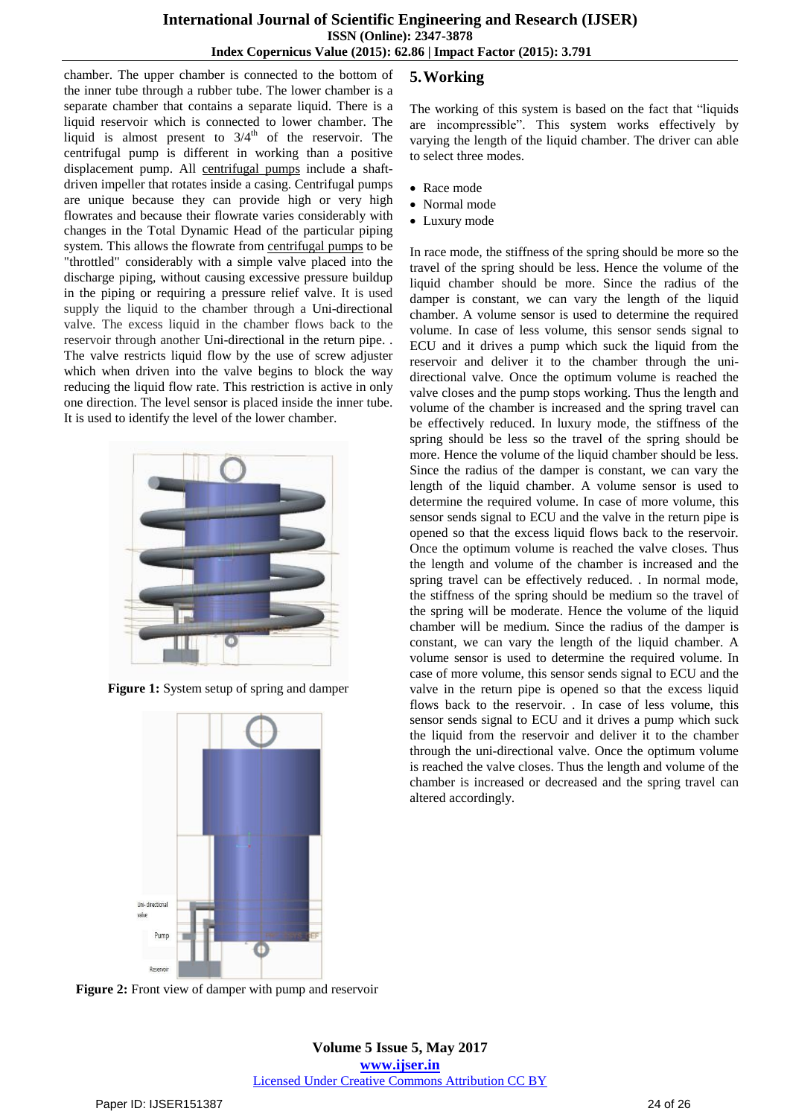chamber. The upper chamber is connected to the bottom of the inner tube through a rubber tube. The lower chamber is a separate chamber that contains a separate liquid. There is a liquid reservoir which is connected to lower chamber. The liquid is almost present to  $3/4<sup>th</sup>$  of the reservoir. The centrifugal pump is different in working than a positive displacement pump. All [centrifugal](https://www.dultmeier.com/catalog/0.851.863) pumps include a shaftdriven impeller that rotates inside a casing. Centrifugal pumps are unique because they can provide high or very high flowrates and because their flowrate varies considerably with changes in the Total Dynamic Head of the particular piping system. This allows the flowrate from [centrifugal](https://www.dultmeier.com/catalog/0.851.863) pumps to be "throttled" considerably with a simple valve placed into the discharge piping, without causing excessive pressure buildup in the piping or requiring a pressure relief valve. It is used supply the liquid to the chamber through a Uni-directional valve. The excess liquid in the chamber flows back to the reservoir through another Uni-directional in the return pipe. . The valve restricts liquid flow by the use of screw adjuster which when driven into the valve begins to block the way reducing the liquid flow rate. This restriction is active in only one direction. The level sensor is placed inside the inner tube. It is used to identify the level of the lower chamber.



**Figure 1:** System setup of spring and damper



# **5.Working**

The working of this system is based on the fact that "liquids are incompressible". This system works effectively by varying the length of the liquid chamber. The driver can able to select three modes.

- Race mode
- Normal mode
- Luxury mode

In race mode, the stiffness of the spring should be more so the travel of the spring should be less. Hence the volume of the liquid chamber should be more. Since the radius of the damper is constant, we can vary the length of the liquid chamber. A volume sensor is used to determine the required volume. In case of less volume, this sensor sends signal to ECU and it drives a pump which suck the liquid from the reservoir and deliver it to the chamber through the unidirectional valve. Once the optimum volume is reached the valve closes and the pump stops working. Thus the length and volume of the chamber is increased and the spring travel can be effectively reduced. In luxury mode, the stiffness of the spring should be less so the travel of the spring should be more. Hence the volume of the liquid chamber should be less. Since the radius of the damper is constant, we can vary the length of the liquid chamber. A volume sensor is used to determine the required volume. In case of more volume, this sensor sends signal to ECU and the valve in the return pipe is opened so that the excess liquid flows back to the reservoir. Once the optimum volume is reached the valve closes. Thus the length and volume of the chamber is increased and the spring travel can be effectively reduced. . In normal mode, the stiffness of the spring should be medium so the travel of the spring will be moderate. Hence the volume of the liquid chamber will be medium. Since the radius of the damper is constant, we can vary the length of the liquid chamber. A volume sensor is used to determine the required volume. In case of more volume, this sensor sends signal to ECU and the valve in the return pipe is opened so that the excess liquid flows back to the reservoir. . In case of less volume, this sensor sends signal to ECU and it drives a pump which suck the liquid from the reservoir and deliver it to the chamber through the uni-directional valve. Once the optimum volume is reached the valve closes. Thus the length and volume of the chamber is increased or decreased and the spring travel can altered accordingly.

**Figure 2:** Front view of damper with pump and reservoir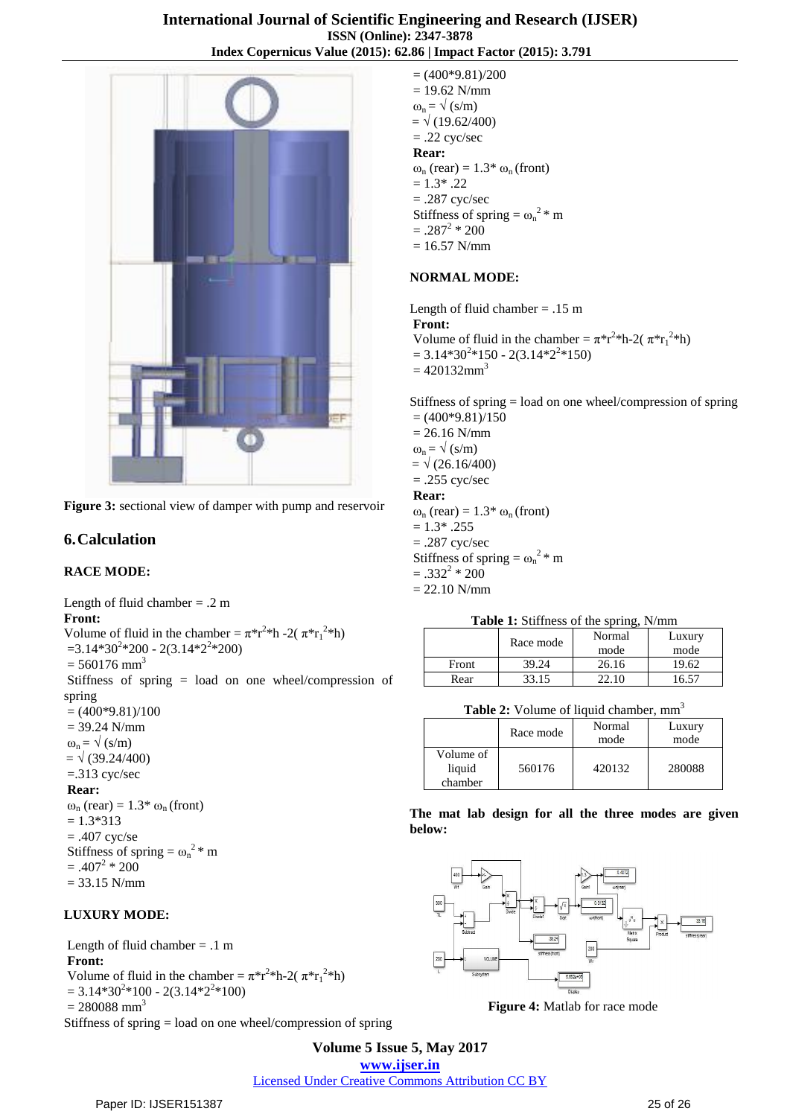

**Figure 3:** sectional view of damper with pump and reservoir

# **6.Calculation**

## **RACE MODE:**

Length of fluid chamber  $= .2$  m **Front:** Volume of fluid in the chamber =  $\pi^*r^2$ <sup>\*</sup>h -2( $\pi^*r_1^2$ <sup>\*</sup>h)  $=$ 3.14\*30<sup>2</sup>\*200 - 2(3.14\*2<sup>2</sup>\*200)  $= 560176$  mm<sup>3</sup> Stiffness of spring = load on one wheel/compression of spring  $= (400*9.81)/100$ = 39.24 N/mm  $\omega_n = \sqrt{(s/m)}$  $= \sqrt{(39.24/400)}$ =.313 cyc/sec **Rear:**  $\omega_n$  (rear) = 1.3\*  $\omega_n$  (front)  $= 1.3*313$  $= .407$  cyc/se

Stiffness of spring =  $\omega_n^2$  \* m  $= .407^2 * 200$  $= 33.15$  N/mm

## **LUXURY MODE:**

Length of fluid chamber  $= .1$  m **Front:** Volume of fluid in the chamber =  $\pi^*r^2$ <sup>\*</sup>h-2( $\pi^*r_1^2$ <sup>\*</sup>h)  $= 3.14*30<sup>2</sup>*100 - 2(3.14*2<sup>2</sup>*100)$  $= 280088$  mm<sup>3</sup> Stiffness of spring = load on one wheel/compression of spring  $= (400*9.81)/200$  $= 19.62$  N/mm  $\omega_n = \sqrt{(s/m)}$  $= \sqrt{(19.62/400)}$  $= .22$  cyc/sec **Rear:**  $\omega_n$  (rear) = 1.3\*  $\omega_n$  (front)  $= 1.3$ \* .22  $= .287$  cyc/sec Stiffness of spring =  $\omega_n^2$  \* m  $=.287<sup>2</sup> * 200$  $= 16.57$  N/mm

## **NORMAL MODE:**

Length of fluid chamber  $= .15$  m **Front:** Volume of fluid in the chamber =  $\pi^* r^{2*} h$ -2( $\pi^* r_1^{2*} h$ )  $= 3.14*30<sup>2</sup>*150 - 2(3.14*2<sup>2</sup>*150)$  $= 420132$ mm<sup>3</sup>

Stiffness of spring = load on one wheel/compression of spring  $= (400*9.81)/150$  $= 26.16$  N/mm

 $\omega_n = \sqrt{(s/m)}$  $= \sqrt{(26.16/400)}$  $= .255$  cyc/sec

# **Rear:**

 $\omega_n$  (rear) = 1.3\*  $\omega_n$  (front)  $= 1.3$ \* .255 = .287 cyc/sec Stiffness of spring =  $\omega_n^2$  \* m  $= .332^2 * 200$  $= 22.10$  N/mm

**Table 1:** Stiffness of the spring, N/mm

|       | Race mode | Normal | Luxury |
|-------|-----------|--------|--------|
|       |           | mode   | mode   |
| Front | 39.24     | 26.16  | 19.62  |
| Rear  | 33.15     |        |        |

**Table 2:** Volume of liquid chamber, mm<sup>3</sup>

|                                | Race mode | Normal<br>mode | Luxury<br>mode |
|--------------------------------|-----------|----------------|----------------|
| Volume of<br>liquid<br>chamber | 560176    | 420132         | 280088         |

## **The mat lab design for all the three modes are given below:**



**Figure 4:** Matlab for race mode

**Volume 5 Issue 5, May 2017 www.ijser.in** Licensed Under Creative Commons Attribution CC BY